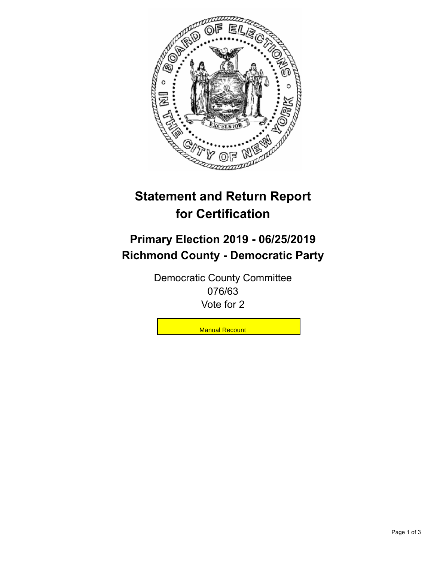

## **Statement and Return Report for Certification**

## **Primary Election 2019 - 06/25/2019 Richmond County - Democratic Party**

Democratic County Committee 076/63 Vote for 2

**Manual Recount**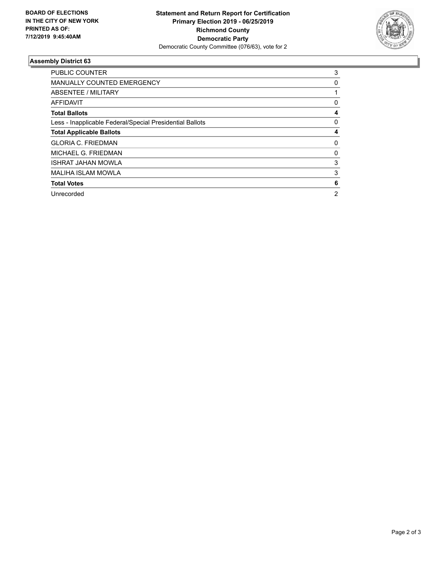

## **Assembly District 63**

| <b>PUBLIC COUNTER</b>                                    | 3 |
|----------------------------------------------------------|---|
| <b>MANUALLY COUNTED EMERGENCY</b>                        | 0 |
| ABSENTEE / MILITARY                                      |   |
| AFFIDAVIT                                                | 0 |
| <b>Total Ballots</b>                                     | 4 |
| Less - Inapplicable Federal/Special Presidential Ballots | 0 |
| <b>Total Applicable Ballots</b>                          | 4 |
| <b>GLORIA C. FRIEDMAN</b>                                | 0 |
| MICHAEL G. FRIEDMAN                                      | 0 |
| <b>ISHRAT JAHAN MOWLA</b>                                | 3 |
| MALIHA ISLAM MOWLA                                       | 3 |
| <b>Total Votes</b>                                       | 6 |
| Unrecorded                                               | 2 |